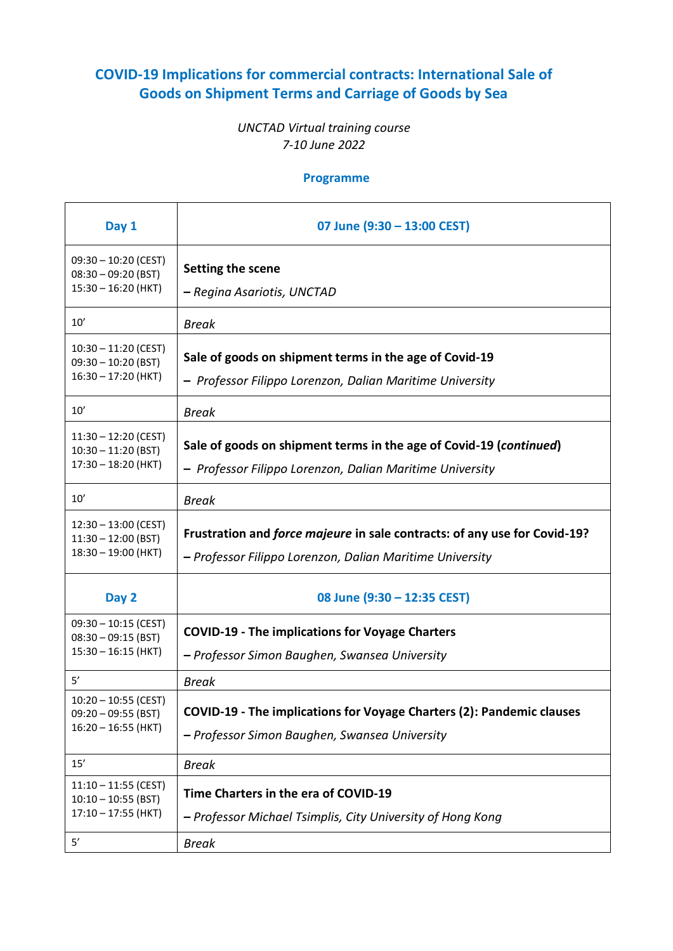## **COVID-19 Implications for commercial contracts: International Sale of Goods on Shipment Terms and Carriage of Goods by Sea**

## *UNCTAD Virtual training course 7-10 June 2022*

## **Programme**

| Day 1                                                                          | 07 June (9:30 - 13:00 CEST)                                                                                                            |
|--------------------------------------------------------------------------------|----------------------------------------------------------------------------------------------------------------------------------------|
| $09:30 - 10:20$ (CEST)<br>$08:30 - 09:20$ (BST)<br>$15:30 - 16:20$ (HKT)       | Setting the scene<br>– Regina Asariotis, UNCTAD                                                                                        |
| 10'                                                                            | <b>Break</b>                                                                                                                           |
| $10:30 - 11:20$ (CEST)<br>$09:30 - 10:20$ (BST)<br>$16:30 - 17:20$ (HKT)       | Sale of goods on shipment terms in the age of Covid-19<br>- Professor Filippo Lorenzon, Dalian Maritime University                     |
| 10'                                                                            | <b>Break</b>                                                                                                                           |
| $11:30 - 12:20$ (CEST)<br>$10:30 - 11:20$ (BST)<br>$17:30 - 18:20$ (HKT)       | Sale of goods on shipment terms in the age of Covid-19 (continued)<br>- Professor Filippo Lorenzon, Dalian Maritime University         |
| 10'                                                                            | <b>Break</b>                                                                                                                           |
| $12:30 - 13:00$ (CEST)<br>$11:30 - 12:00$ (BST)<br>$18:30 - 19:00$ (HKT)       | Frustration and force majeure in sale contracts: of any use for Covid-19?<br>- Professor Filippo Lorenzon, Dalian Maritime University  |
| Day 2                                                                          | 08 June (9:30 - 12:35 CEST)                                                                                                            |
| $09:30 - 10:15$ (CEST)<br>$08:30 - 09:15$ (BST)<br>$15:30 - 16:15$ (HKT)       | <b>COVID-19 - The implications for Voyage Charters</b><br>- Professor Simon Baughen, Swansea University                                |
| 5'<br>$10:20 - 10:55$ (CEST)<br>$09:20 - 09:55$ (BST)<br>$16:20 - 16:55$ (HKT) | <b>Break</b><br>COVID-19 - The implications for Voyage Charters (2): Pandemic clauses<br>- Professor Simon Baughen, Swansea University |
| 15'                                                                            | <b>Break</b>                                                                                                                           |
| $11:10 - 11:55$ (CEST)<br>$10:10 - 10:55$ (BST)<br>$17:10 - 17:55$ (HKT)<br>5' | Time Charters in the era of COVID-19<br>- Professor Michael Tsimplis, City University of Hong Kong<br><b>Break</b>                     |
|                                                                                |                                                                                                                                        |